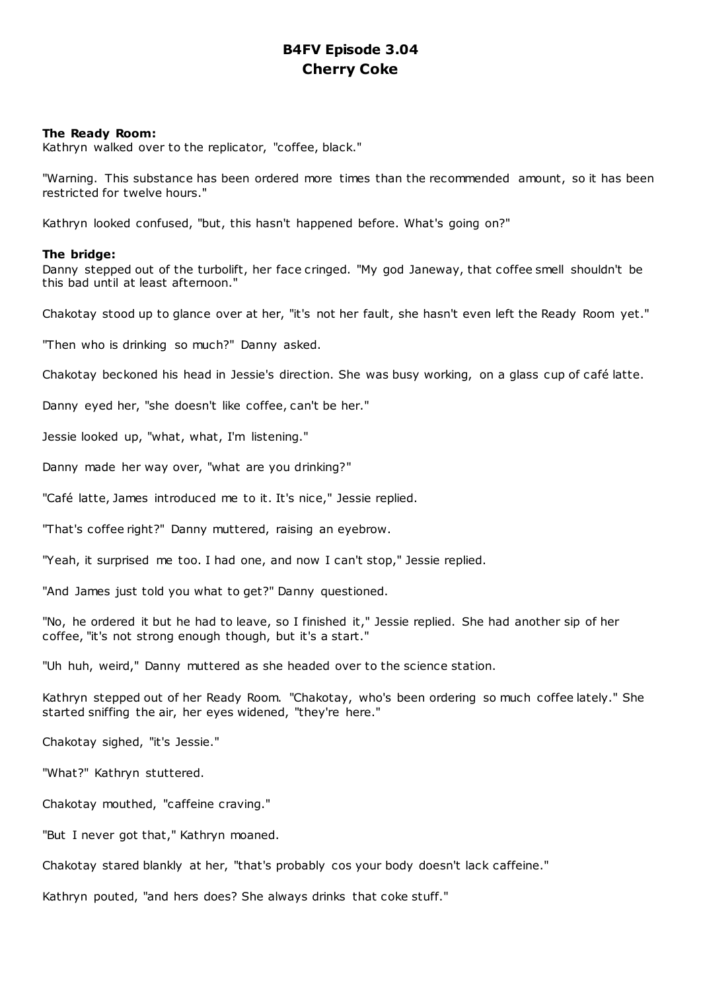# **B4FV Episode 3.04 Cherry Coke**

# **The Ready Room:**

Kathryn walked over to the replicator, "coffee, black."

"Warning. This substance has been ordered more times than the recommended amount, so it has been restricted for twelve hours."

Kathryn looked confused, "but, this hasn't happened before. What's going on?"

#### **The bridge:**

Danny stepped out of the turbolift, her face cringed. "My god Janeway, that coffee smell shouldn't be this bad until at least afternoon."

Chakotay stood up to glance over at her, "it's not her fault, she hasn't even left the Ready Room yet."

"Then who is drinking so much?" Danny asked.

Chakotay beckoned his head in Jessie's direction. She was busy working, on a glass cup of café latte.

Danny eyed her, "she doesn't like coffee, can't be her."

Jessie looked up, "what, what, I'm listening."

Danny made her way over, "what are you drinking?"

"Café latte, James introduced me to it. It's nice," Jessie replied.

"That's coffee right?" Danny muttered, raising an eyebrow.

"Yeah, it surprised me too. I had one, and now I can't stop," Jessie replied.

"And James just told you what to get?" Danny questioned.

"No, he ordered it but he had to leave, so I finished it," Jessie replied. She had another sip of her coffee, "it's not strong enough though, but it's a start."

"Uh huh, weird," Danny muttered as she headed over to the science station.

Kathryn stepped out of her Ready Room. "Chakotay, who's been ordering so much coffee lately." She started sniffing the air, her eyes widened, "they're here."

Chakotay sighed, "it's Jessie."

"What?" Kathryn stuttered.

Chakotay mouthed, "caffeine craving."

"But I never got that," Kathryn moaned.

Chakotay stared blankly at her, "that's probably cos your body doesn't lack caffeine."

Kathryn pouted, "and hers does? She always drinks that coke stuff."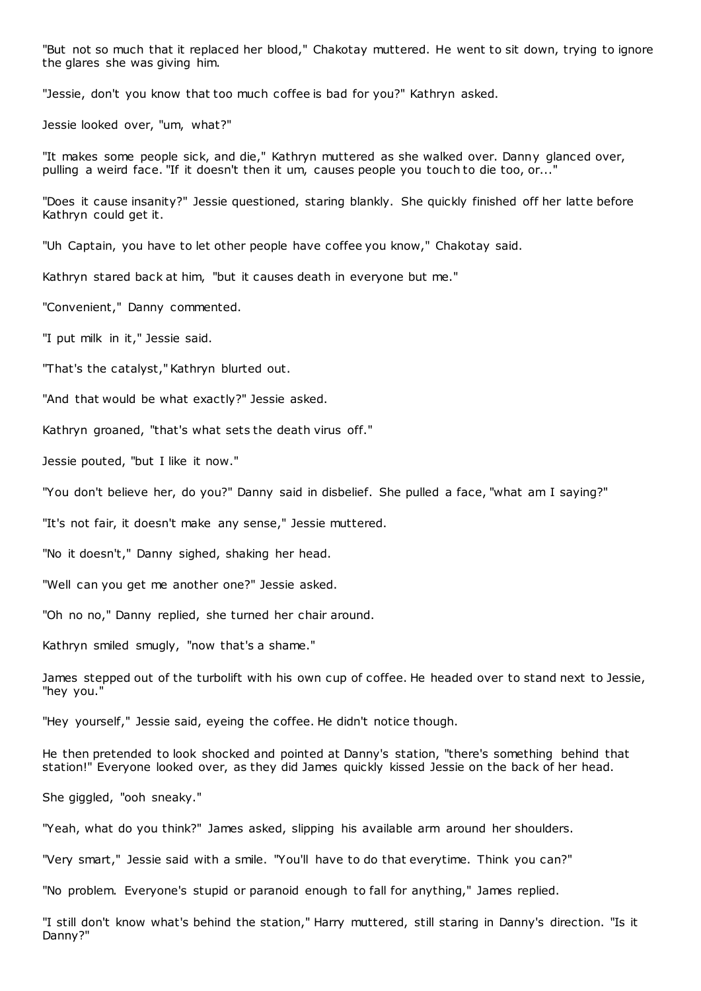"But not so much that it replaced her blood," Chakotay muttered. He went to sit down, trying to ignore the glares she was giving him.

"Jessie, don't you know that too much coffee is bad for you?" Kathryn asked.

Jessie looked over, "um, what?"

"It makes some people sick, and die," Kathryn muttered as she walked over. Danny glanced over, pulling a weird face. "If it doesn't then it um, causes people you touch to die too, or..."

"Does it cause insanity?" Jessie questioned, staring blankly. She quickly finished off her latte before Kathryn could get it.

"Uh Captain, you have to let other people have coffee you know," Chakotay said.

Kathryn stared back at him, "but it causes death in everyone but me."

"Convenient," Danny commented.

"I put milk in it," Jessie said.

"That's the catalyst," Kathryn blurted out.

"And that would be what exactly?" Jessie asked.

Kathryn groaned, "that's what sets the death virus off."

Jessie pouted, "but I like it now."

"You don't believe her, do you?" Danny said in disbelief. She pulled a face, "what am I saying?"

"It's not fair, it doesn't make any sense," Jessie muttered.

"No it doesn't," Danny sighed, shaking her head.

"Well can you get me another one?" Jessie asked.

"Oh no no," Danny replied, she turned her chair around.

Kathryn smiled smugly, "now that's a shame."

James stepped out of the turbolift with his own cup of coffee. He headed over to stand next to Jessie, "hey you."

"Hey yourself," Jessie said, eyeing the coffee. He didn't notice though.

He then pretended to look shocked and pointed at Danny's station, "there's something behind that station!" Everyone looked over, as they did James quickly kissed Jessie on the back of her head.

She giggled, "ooh sneaky."

"Yeah, what do you think?" James asked, slipping his available arm around her shoulders.

"Very smart," Jessie said with a smile. "You'll have to do that everytime. Think you can?"

"No problem. Everyone's stupid or paranoid enough to fall for anything," James replied.

"I still don't know what's behind the station," Harry muttered, still staring in Danny's direction. "Is it Danny?"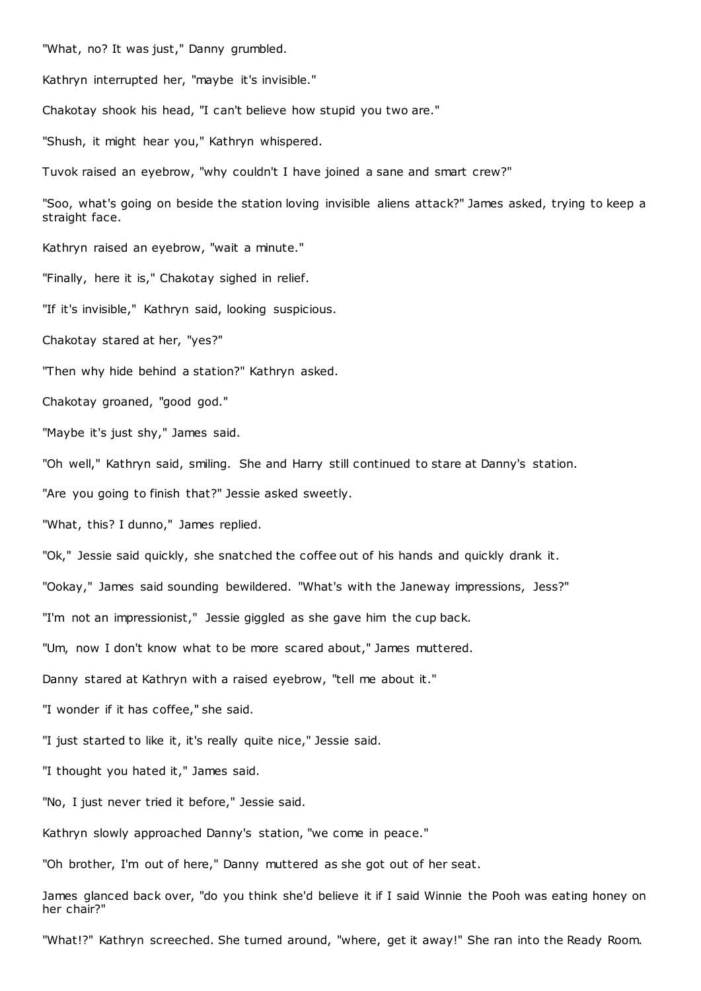"What, no? It was just," Danny grumbled. Kathryn interrupted her, "maybe it's invisible." Chakotay shook his head, "I can't believe how stupid you two are." "Shush, it might hear you," Kathryn whispered. Tuvok raised an eyebrow, "why couldn't I have joined a sane and smart crew?" "Soo, what's going on beside the station loving invisible aliens attack?" James asked, trying to keep a straight face. Kathryn raised an eyebrow, "wait a minute." "Finally, here it is," Chakotay sighed in relief. "If it's invisible," Kathryn said, looking suspicious. Chakotay stared at her, "yes?" "Then why hide behind a station?" Kathryn asked. Chakotay groaned, "good god." "Maybe it's just shy," James said. "Oh well," Kathryn said, smiling. She and Harry still continued to stare at Danny's station. "Are you going to finish that?" Jessie asked sweetly. "What, this? I dunno," James replied. "Ok," Jessie said quickly, she snatched the coffee out of his hands and quickly drank it. "Ookay," James said sounding bewildered. "What's with the Janeway impressions, Jess?" "I'm not an impressionist," Jessie giggled as she gave him the cup back. "Um, now I don't know what to be more scared about," James muttered. Danny stared at Kathryn with a raised eyebrow, "tell me about it." "I wonder if it has coffee," she said. "I just started to like it, it's really quite nice," Jessie said. "I thought you hated it," James said. "No, I just never tried it before," Jessie said. Kathryn slowly approached Danny's station, "we come in peace." "Oh brother, I'm out of here," Danny muttered as she got out of her seat.

James glanced back over, "do you think she'd believe it if I said Winnie the Pooh was eating honey on her chair?"

"What!?" Kathryn screeched. She turned around, "where, get it away!" She ran into the Ready Room.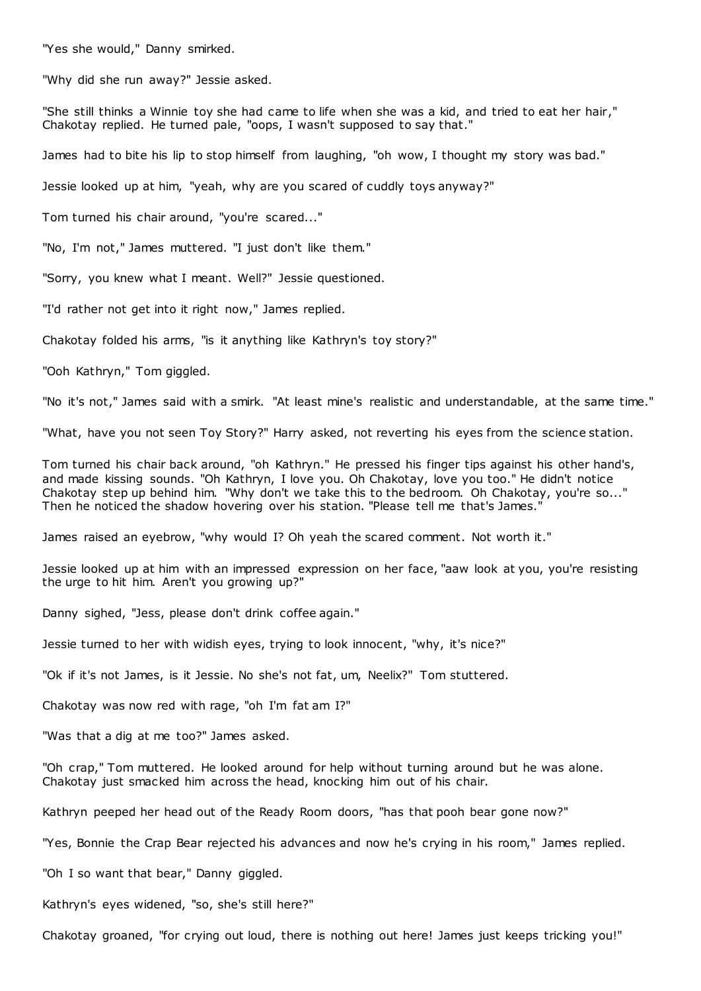"Yes she would," Danny smirked.

"Why did she run away?" Jessie asked.

"She still thinks a Winnie toy she had came to life when she was a kid, and tried to eat her hair," Chakotay replied. He turned pale, "oops, I wasn't supposed to say that."

James had to bite his lip to stop himself from laughing, "oh wow, I thought my story was bad."

Jessie looked up at him, "yeah, why are you scared of cuddly toys anyway?"

Tom turned his chair around, "you're scared..."

"No, I'm not," James muttered. "I just don't like them."

"Sorry, you knew what I meant. Well?" Jessie questioned.

"I'd rather not get into it right now," James replied.

Chakotay folded his arms, "is it anything like Kathryn's toy story?"

"Ooh Kathryn," Tom giggled.

"No it's not," James said with a smirk. "At least mine's realistic and understandable, at the same time."

"What, have you not seen Toy Story?" Harry asked, not reverting his eyes from the science station.

Tom turned his chair back around, "oh Kathryn." He pressed his finger tips against his other hand's, and made kissing sounds. "Oh Kathryn, I love you. Oh Chakotay, love you too." He didn't notice Chakotay step up behind him. "Why don't we take this to the bedroom. Oh Chakotay, you're so..." Then he noticed the shadow hovering over his station. "Please tell me that's James."

James raised an eyebrow, "why would I? Oh yeah the scared comment. Not worth it."

Jessie looked up at him with an impressed expression on her face, "aaw look at you, you're resisting the urge to hit him. Aren't you growing up?"

Danny sighed, "Jess, please don't drink coffee again."

Jessie turned to her with widish eyes, trying to look innocent, "why, it's nice?"

"Ok if it's not James, is it Jessie. No she's not fat, um, Neelix?" Tom stuttered.

Chakotay was now red with rage, "oh I'm fat am I?"

"Was that a dig at me too?" James asked.

"Oh crap," Tom muttered. He looked around for help without turning around but he was alone. Chakotay just smacked him across the head, knocking him out of his chair.

Kathryn peeped her head out of the Ready Room doors, "has that pooh bear gone now?"

"Yes, Bonnie the Crap Bear rejected his advances and now he's crying in his room," James replied.

"Oh I so want that bear," Danny giggled.

Kathryn's eyes widened, "so, she's still here?"

Chakotay groaned, "for crying out loud, there is nothing out here! James just keeps tricking you!"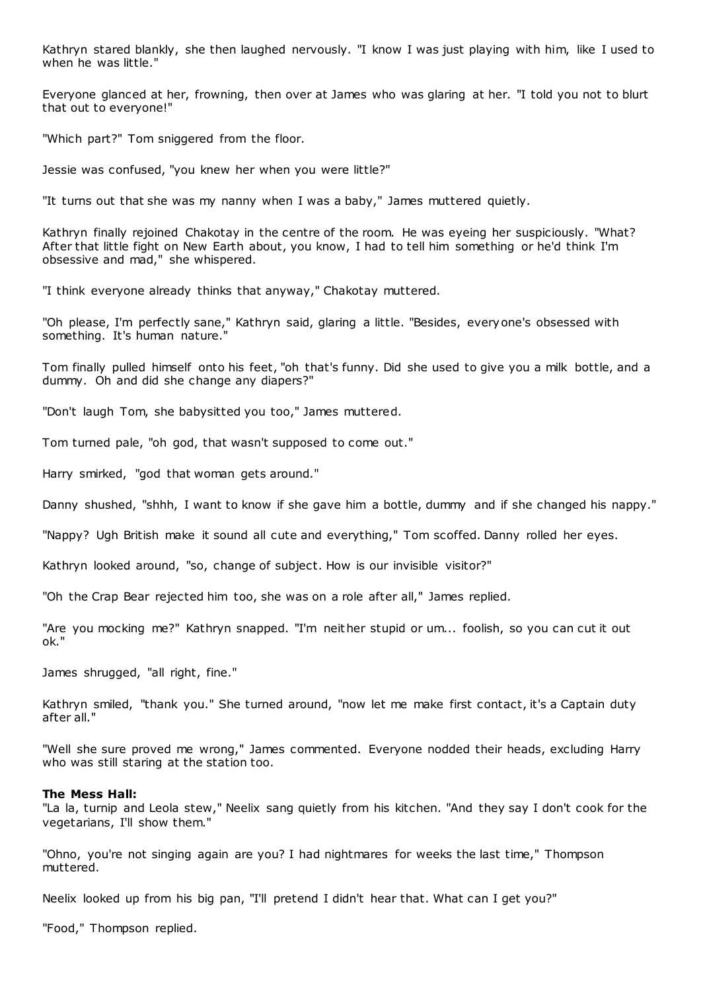Kathryn stared blankly, she then laughed nervously. "I know I was just playing with him, like I used to when he was little."

Everyone glanced at her, frowning, then over at James who was glaring at her. "I told you not to blurt that out to everyone!"

"Which part?" Tom sniggered from the floor.

Jessie was confused, "you knew her when you were little?"

"It turns out that she was my nanny when I was a baby," James muttered quietly.

Kathryn finally rejoined Chakotay in the centre of the room. He was eyeing her suspiciously. "What? After that little fight on New Earth about, you know, I had to tell him something or he'd think I'm obsessive and mad," she whispered.

"I think everyone already thinks that anyway," Chakotay muttered.

"Oh please, I'm perfectly sane," Kathryn said, glaring a little. "Besides, everyone's obsessed with something. It's human nature.

Tom finally pulled himself onto his feet, "oh that's funny. Did she used to give you a milk bottle, and a dummy. Oh and did she change any diapers?"

"Don't laugh Tom, she babysitted you too," James muttered.

Tom turned pale, "oh god, that wasn't supposed to come out."

Harry smirked, "god that woman gets around."

Danny shushed, "shhh, I want to know if she gave him a bottle, dummy and if she changed his nappy."

"Nappy? Ugh British make it sound all cute and everything," Tom scoffed. Danny rolled her eyes.

Kathryn looked around, "so, change of subject. How is our invisible visitor?"

"Oh the Crap Bear rejected him too, she was on a role after all," James replied.

"Are you mocking me?" Kathryn snapped. "I'm neither stupid or um... foolish, so you can cut it out ok."

James shrugged, "all right, fine."

Kathryn smiled, "thank you." She turned around, "now let me make first contact, it's a Captain duty after all."

"Well she sure proved me wrong," James commented. Everyone nodded their heads, excluding Harry who was still staring at the station too.

# **The Mess Hall:**

"La la, turnip and Leola stew," Neelix sang quietly from his kitchen. "And they say I don't cook for the vegetarians, I'll show them."

"Ohno, you're not singing again are you? I had nightmares for weeks the last time," Thompson muttered.

Neelix looked up from his big pan, "I'll pretend I didn't hear that. What can I get you?"

"Food," Thompson replied.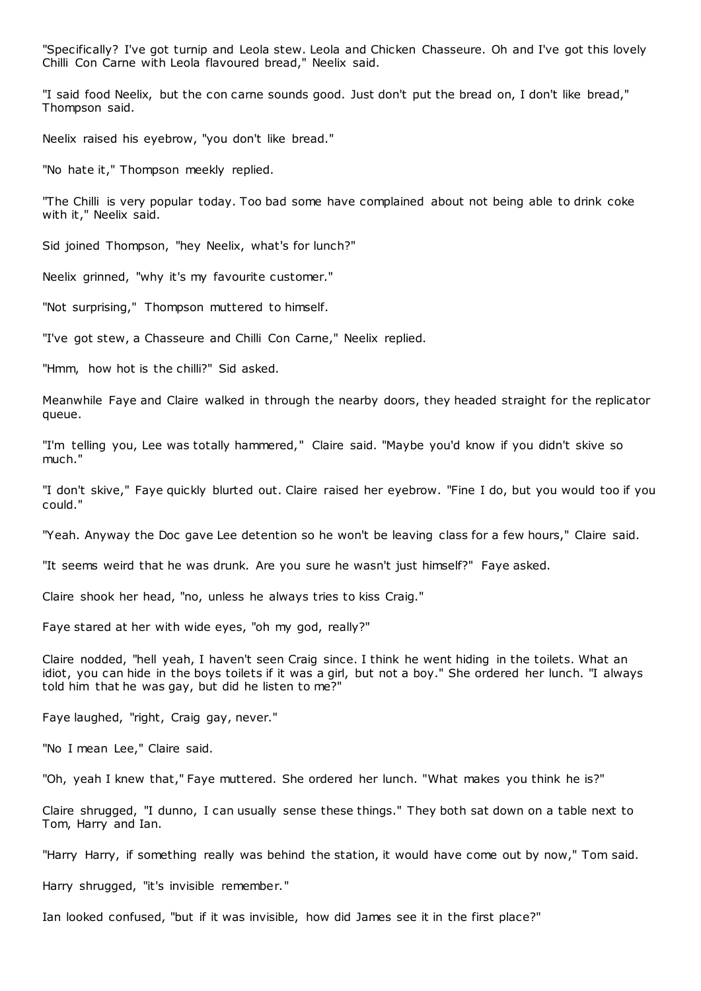"Specifically? I've got turnip and Leola stew. Leola and Chicken Chasseure. Oh and I've got this lovely Chilli Con Carne with Leola flavoured bread," Neelix said.

"I said food Neelix, but the con carne sounds good. Just don't put the bread on, I don't like bread," Thompson said.

Neelix raised his eyebrow, "you don't like bread."

"No hate it," Thompson meekly replied.

"The Chilli is very popular today. Too bad some have complained about not being able to drink coke with it," Neelix said.

Sid joined Thompson, "hey Neelix, what's for lunch?"

Neelix grinned, "why it's my favourite customer."

"Not surprising," Thompson muttered to himself.

"I've got stew, a Chasseure and Chilli Con Carne," Neelix replied.

"Hmm, how hot is the chilli?" Sid asked.

Meanwhile Faye and Claire walked in through the nearby doors, they headed straight for the replicator queue.

"I'm telling you, Lee was totally hammered," Claire said. "Maybe you'd know if you didn't skive so much."

"I don't skive," Faye quickly blurted out. Claire raised her eyebrow. "Fine I do, but you would too if you could."

"Yeah. Anyway the Doc gave Lee detention so he won't be leaving class for a few hours," Claire said.

"It seems weird that he was drunk. Are you sure he wasn't just himself?" Faye asked.

Claire shook her head, "no, unless he always tries to kiss Craig."

Faye stared at her with wide eyes, "oh my god, really?"

Claire nodded, "hell yeah, I haven't seen Craig since. I think he went hiding in the toilets. What an idiot, you can hide in the boys toilets if it was a girl, but not a boy." She ordered her lunch. "I always told him that he was gay, but did he listen to me?"

Faye laughed, "right, Craig gay, never."

"No I mean Lee," Claire said.

"Oh, yeah I knew that," Faye muttered. She ordered her lunch. "What makes you think he is?"

Claire shrugged, "I dunno, I can usually sense these things." They both sat down on a table next to Tom, Harry and Ian.

"Harry Harry, if something really was behind the station, it would have come out by now," Tom said.

Harry shrugged, "it's invisible remember."

Ian looked confused, "but if it was invisible, how did James see it in the first place?"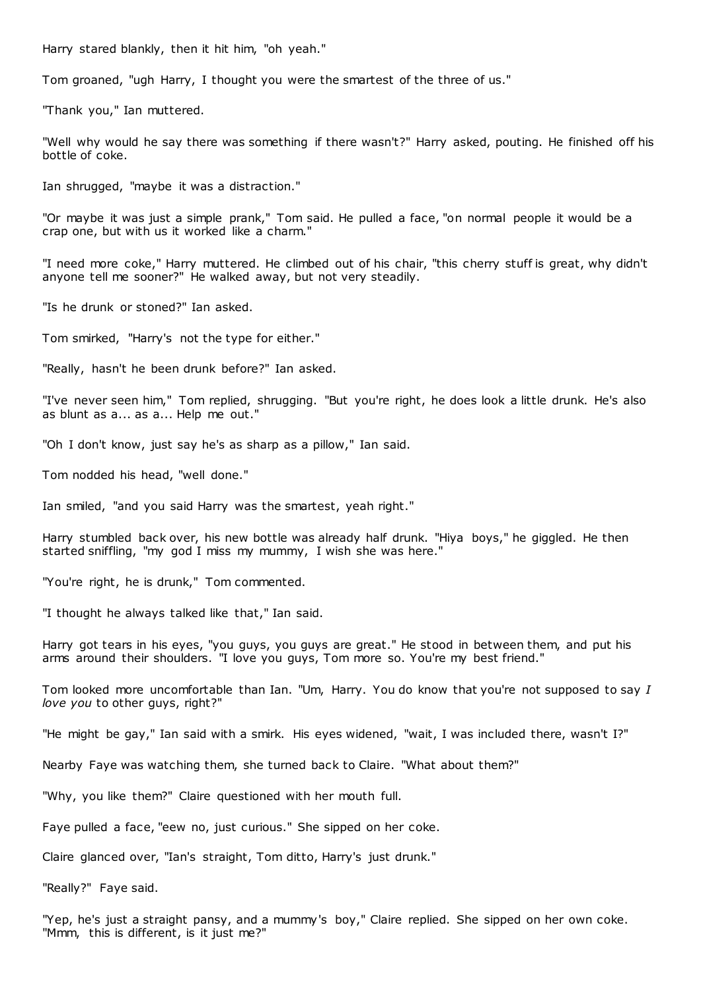Harry stared blankly, then it hit him, "oh yeah."

Tom groaned, "ugh Harry, I thought you were the smartest of the three of us."

"Thank you," Ian muttered.

"Well why would he say there was something if there wasn't?" Harry asked, pouting. He finished off his bottle of coke.

Ian shrugged, "maybe it was a distraction."

"Or maybe it was just a simple prank," Tom said. He pulled a face, "on normal people it would be a crap one, but with us it worked like a charm."

"I need more coke," Harry muttered. He climbed out of his chair, "this cherry stuff is great, why didn't anyone tell me sooner?" He walked away, but not very steadily.

"Is he drunk or stoned?" Ian asked.

Tom smirked, "Harry's not the type for either."

"Really, hasn't he been drunk before?" Ian asked.

"I've never seen him," Tom replied, shrugging. "But you're right, he does look a little drunk. He's also as blunt as a... as a... Help me out."

"Oh I don't know, just say he's as sharp as a pillow," Ian said.

Tom nodded his head, "well done."

Ian smiled, "and you said Harry was the smartest, yeah right."

Harry stumbled back over, his new bottle was already half drunk. "Hiya boys," he giggled. He then started sniffling, "my god I miss my mummy, I wish she was here."

"You're right, he is drunk," Tom commented.

"I thought he always talked like that," Ian said.

Harry got tears in his eyes, "you guys, you guys are great." He stood in between them, and put his arms around their shoulders. "I love you guys, Tom more so. You're my best friend."

Tom looked more uncomfortable than Ian. "Um, Harry. You do know that you're not supposed to say *I love you* to other guys, right?"

"He might be gay," Ian said with a smirk. His eyes widened, "wait, I was included there, wasn't I?"

Nearby Faye was watching them, she turned back to Claire. "What about them?"

"Why, you like them?" Claire questioned with her mouth full.

Faye pulled a face, "eew no, just curious." She sipped on her coke.

Claire glanced over, "Ian's straight, Tom ditto, Harry's just drunk."

"Really?" Faye said.

"Yep, he's just a straight pansy, and a mummy's boy," Claire replied. She sipped on her own coke. "Mmm, this is different, is it just me?"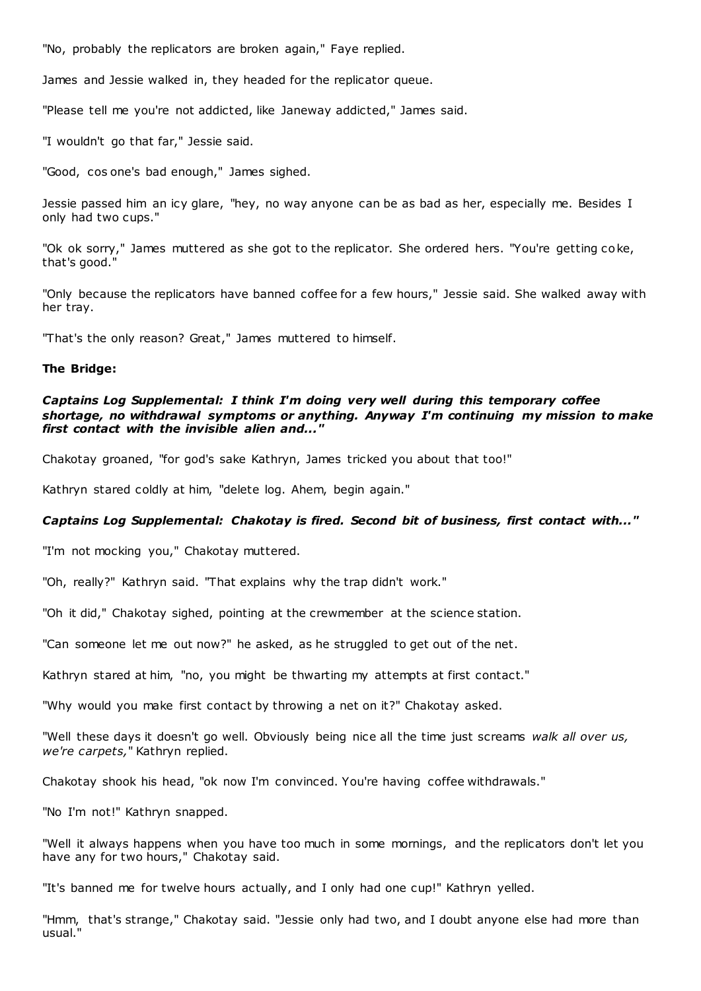"No, probably the replicators are broken again," Faye replied.

James and Jessie walked in, they headed for the replicator queue.

"Please tell me you're not addicted, like Janeway addicted," James said.

"I wouldn't go that far," Jessie said.

"Good, cos one's bad enough," James sighed.

Jessie passed him an icy glare, "hey, no way anyone can be as bad as her, especially me. Besides I only had two cups."

"Ok ok sorry," James muttered as she got to the replicator. She ordered hers. "You're getting coke, that's good."

"Only because the replicators have banned coffee for a few hours," Jessie said. She walked away with her tray.

"That's the only reason? Great," James muttered to himself.

# **The Bridge:**

# *Captains Log Supplemental: I think I'm doing very well during this temporary coffee shortage, no withdrawal symptoms or anything. Anyway I'm continuing my mission to make first contact with the invisible alien and..."*

Chakotay groaned, "for god's sake Kathryn, James tricked you about that too!"

Kathryn stared coldly at him, "delete log. Ahem, begin again."

# *Captains Log Supplemental: Chakotay is fired. Second bit of business, first contact with..."*

"I'm not mocking you," Chakotay muttered.

"Oh, really?" Kathryn said. "That explains why the trap didn't work."

"Oh it did," Chakotay sighed, pointing at the crewmember at the science station.

"Can someone let me out now?" he asked, as he struggled to get out of the net.

Kathryn stared at him, "no, you might be thwarting my attempts at first contact."

"Why would you make first contact by throwing a net on it?" Chakotay asked.

"Well these days it doesn't go well. Obviously being nice all the time just screams *walk all over us, we're carpets,*" Kathryn replied.

Chakotay shook his head, "ok now I'm convinced. You're having coffee withdrawals."

"No I'm not!" Kathryn snapped.

"Well it always happens when you have too much in some mornings, and the replicators don't let you have any for two hours," Chakotay said.

"It's banned me for twelve hours actually, and I only had one cup!" Kathryn yelled.

"Hmm, that's strange," Chakotay said. "Jessie only had two, and I doubt anyone else had more than usual."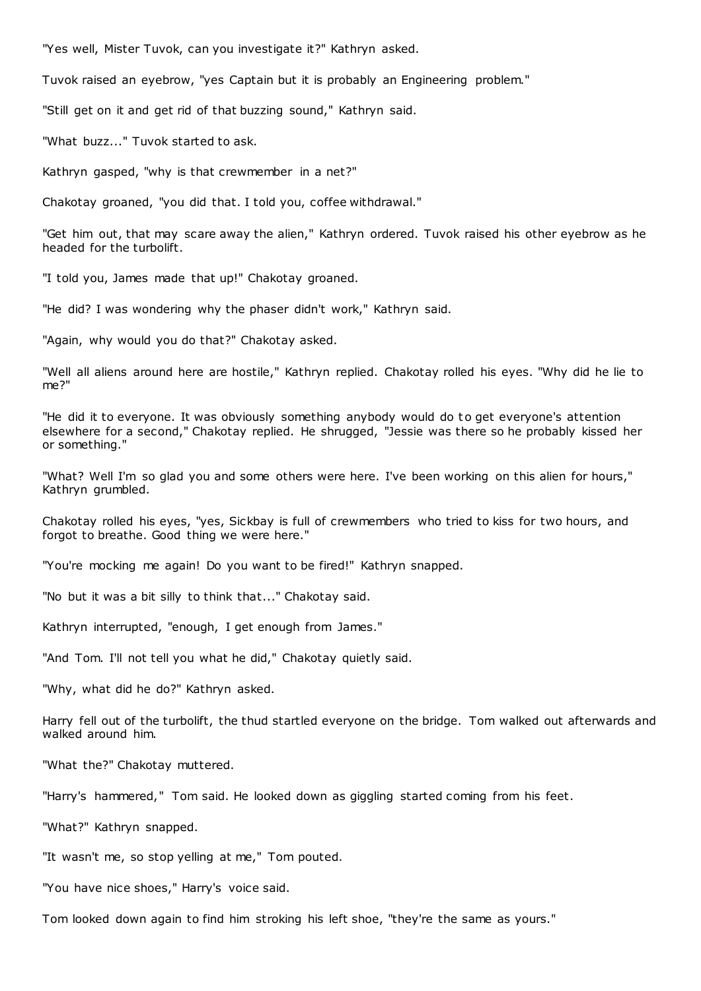"Yes well, Mister Tuvok, can you investigate it?" Kathryn asked.

Tuvok raised an eyebrow, "yes Captain but it is probably an Engineering problem."

"Still get on it and get rid of that buzzing sound," Kathryn said.

"What buzz..." Tuvok started to ask.

Kathryn gasped, "why is that crewmember in a net?"

Chakotay groaned, "you did that. I told you, coffee withdrawal."

"Get him out, that may scare away the alien," Kathryn ordered. Tuvok raised his other eyebrow as he headed for the turbolift.

"I told you, James made that up!" Chakotay groaned.

"He did? I was wondering why the phaser didn't work," Kathryn said.

"Again, why would you do that?" Chakotay asked.

"Well all aliens around here are hostile," Kathryn replied. Chakotay rolled his eyes. "Why did he lie to me?"

"He did it to everyone. It was obviously something anybody would do to get everyone's attention elsewhere for a second," Chakotay replied. He shrugged, "Jessie was there so he probably kissed her or something."

"What? Well I'm so glad you and some others were here. I've been working on this alien for hours," Kathryn grumbled.

Chakotay rolled his eyes, "yes, Sickbay is full of crewmembers who tried to kiss for two hours, and forgot to breathe. Good thing we were here."

"You're mocking me again! Do you want to be fired!" Kathryn snapped.

"No but it was a bit silly to think that..." Chakotay said.

Kathryn interrupted, "enough, I get enough from James."

"And Tom. I'll not tell you what he did," Chakotay quietly said.

"Why, what did he do?" Kathryn asked.

Harry fell out of the turbolift, the thud startled everyone on the bridge. Tom walked out afterwards and walked around him.

"What the?" Chakotay muttered.

"Harry's hammered," Tom said. He looked down as giggling started coming from his feet.

"What?" Kathryn snapped.

"It wasn't me, so stop yelling at me," Tom pouted.

"You have nice shoes," Harry's voice said.

Tom looked down again to find him stroking his left shoe, "they're the same as yours."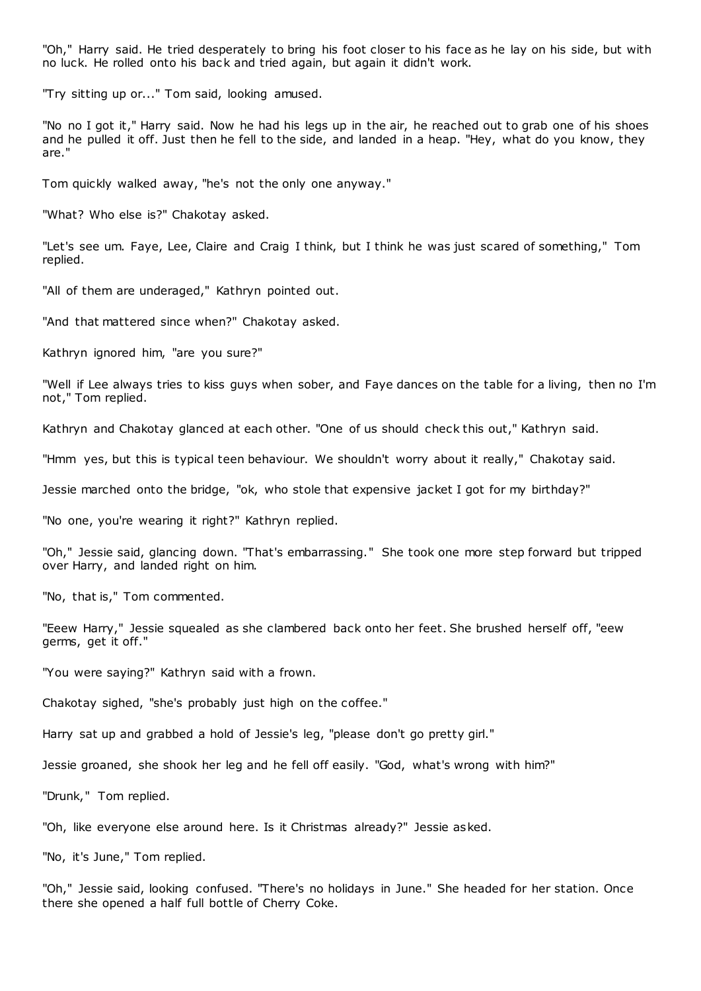"Oh," Harry said. He tried desperately to bring his foot closer to his face as he lay on his side, but with no luck. He rolled onto his back and tried again, but again it didn't work.

"Try sitting up or..." Tom said, looking amused.

"No no I got it," Harry said. Now he had his legs up in the air, he reached out to grab one of his shoes and he pulled it off. Just then he fell to the side, and landed in a heap. "Hey, what do you know, they are."

Tom quickly walked away, "he's not the only one anyway."

"What? Who else is?" Chakotay asked.

"Let's see um. Faye, Lee, Claire and Craig I think, but I think he was just scared of something," Tom replied.

"All of them are underaged," Kathryn pointed out.

"And that mattered since when?" Chakotay asked.

Kathryn ignored him, "are you sure?"

"Well if Lee always tries to kiss guys when sober, and Faye dances on the table for a living, then no I'm not," Tom replied.

Kathryn and Chakotay glanced at each other. "One of us should check this out," Kathryn said.

"Hmm yes, but this is typical teen behaviour. We shouldn't worry about it really," Chakotay said.

Jessie marched onto the bridge, "ok, who stole that expensive jacket I got for my birthday?"

"No one, you're wearing it right?" Kathryn replied.

"Oh," Jessie said, glancing down. "That's embarrassing." She took one more step forward but tripped over Harry, and landed right on him.

"No, that is," Tom commented.

"Eeew Harry," Jessie squealed as she clambered back onto her feet. She brushed herself off, "eew germs, get it off."

"You were saying?" Kathryn said with a frown.

Chakotay sighed, "she's probably just high on the coffee."

Harry sat up and grabbed a hold of Jessie's leg, "please don't go pretty girl."

Jessie groaned, she shook her leg and he fell off easily. "God, what's wrong with him?"

"Drunk," Tom replied.

"Oh, like everyone else around here. Is it Christmas already?" Jessie asked.

"No, it's June," Tom replied.

"Oh," Jessie said, looking confused. "There's no holidays in June." She headed for her station. Once there she opened a half full bottle of Cherry Coke.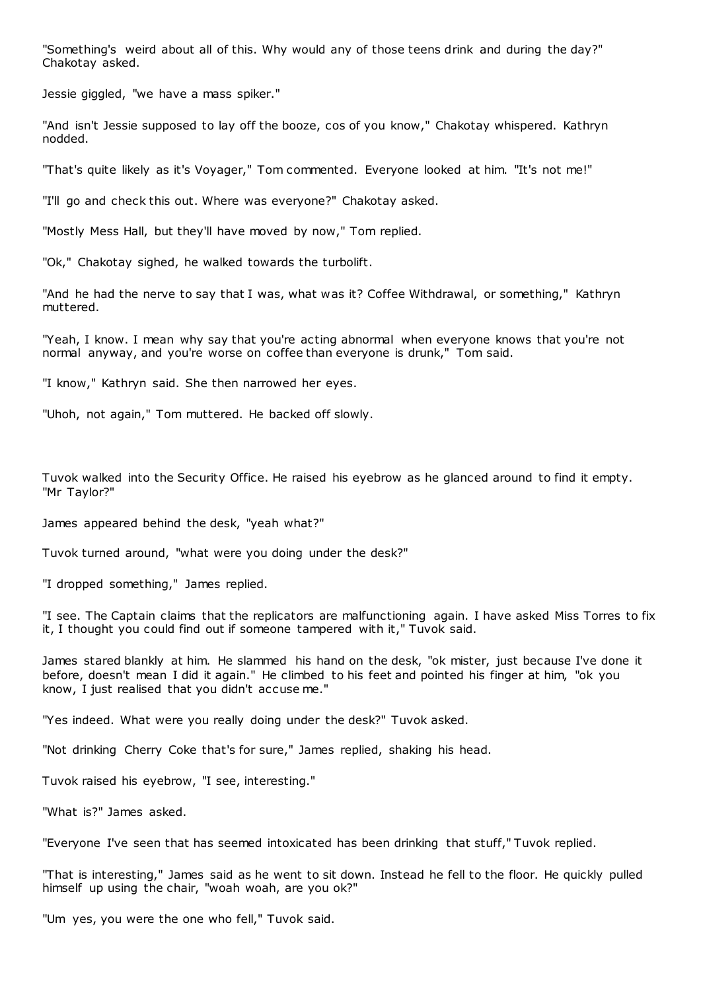"Something's weird about all of this. Why would any of those teens drink and during the day?" Chakotay asked.

Jessie giggled, "we have a mass spiker."

"And isn't Jessie supposed to lay off the booze, cos of you know," Chakotay whispered. Kathryn nodded.

"That's quite likely as it's Voyager," Tom commented. Everyone looked at him. "It's not me!"

"I'll go and check this out. Where was everyone?" Chakotay asked.

"Mostly Mess Hall, but they'll have moved by now," Tom replied.

"Ok," Chakotay sighed, he walked towards the turbolift.

"And he had the nerve to say that I was, what was it? Coffee Withdrawal, or something," Kathryn muttered.

"Yeah, I know. I mean why say that you're acting abnormal when everyone knows that you're not normal anyway, and you're worse on coffee than everyone is drunk," Tom said.

"I know," Kathryn said. She then narrowed her eyes.

"Uhoh, not again," Tom muttered. He backed off slowly.

Tuvok walked into the Security Office. He raised his eyebrow as he glanced around to find it empty. "Mr Taylor?"

James appeared behind the desk, "yeah what?"

Tuvok turned around, "what were you doing under the desk?"

"I dropped something," James replied.

"I see. The Captain claims that the replicators are malfunctioning again. I have asked Miss Torres to fix it, I thought you could find out if someone tampered with it," Tuvok said.

James stared blankly at him. He slammed his hand on the desk, "ok mister, just because I've done it before, doesn't mean I did it again." He climbed to his feet and pointed his finger at him, "ok you know, I just realised that you didn't accuse me."

"Yes indeed. What were you really doing under the desk?" Tuvok asked.

"Not drinking Cherry Coke that's for sure," James replied, shaking his head.

Tuvok raised his eyebrow, "I see, interesting."

"What is?" James asked.

"Everyone I've seen that has seemed intoxicated has been drinking that stuff," Tuvok replied.

"That is interesting," James said as he went to sit down. Instead he fell to the floor. He quickly pulled himself up using the chair, "woah woah, are you ok?"

"Um yes, you were the one who fell," Tuvok said.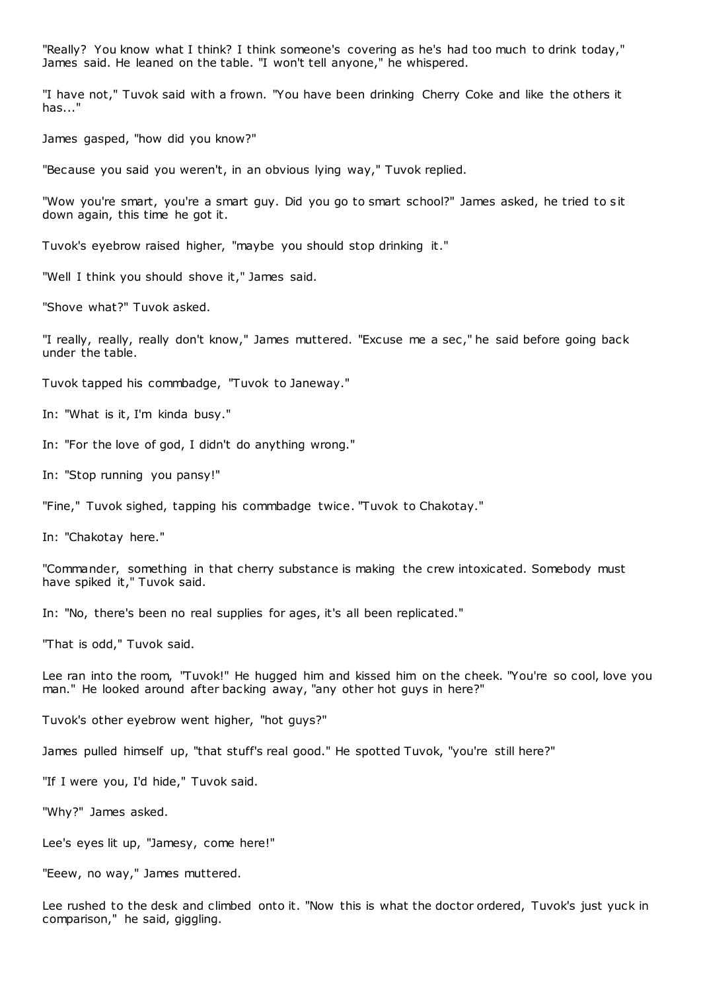"Really? You know what I think? I think someone's covering as he's had too much to drink today," James said. He leaned on the table. "I won't tell anyone," he whispered.

"I have not," Tuvok said with a frown. "You have been drinking Cherry Coke and like the others it has..."

James gasped, "how did you know?"

"Because you said you weren't, in an obvious lying way," Tuvok replied.

"Wow you're smart, you're a smart guy. Did you go to smart school?" James asked, he tried to sit down again, this time he got it.

Tuvok's eyebrow raised higher, "maybe you should stop drinking it."

"Well I think you should shove it," James said.

"Shove what?" Tuvok asked.

"I really, really, really don't know," James muttered. "Excuse me a sec ," he said before going back under the table.

Tuvok tapped his commbadge, "Tuvok to Janeway."

In: "What is it, I'm kinda busy."

In: "For the love of god, I didn't do anything wrong."

In: "Stop running you pansy!"

"Fine," Tuvok sighed, tapping his commbadge twice. "Tuvok to Chakotay."

In: "Chakotay here."

"Commander, something in that cherry substance is making the crew intoxicated. Somebody must have spiked it," Tuvok said.

In: "No, there's been no real supplies for ages, it's all been replicated."

"That is odd," Tuvok said.

Lee ran into the room, "Tuvok!" He hugged him and kissed him on the cheek. "You're so cool, love you man." He looked around after backing away, "any other hot guys in here?"

Tuvok's other eyebrow went higher, "hot guys?"

James pulled himself up, "that stuff's real good." He spotted Tuvok, "you're still here?"

"If I were you, I'd hide," Tuvok said.

"Why?" James asked.

Lee's eyes lit up, "Jamesy, come here!"

"Eeew, no way," James muttered.

Lee rushed to the desk and climbed onto it. "Now this is what the doctor ordered, Tuvok's just yuck in comparison," he said, giggling.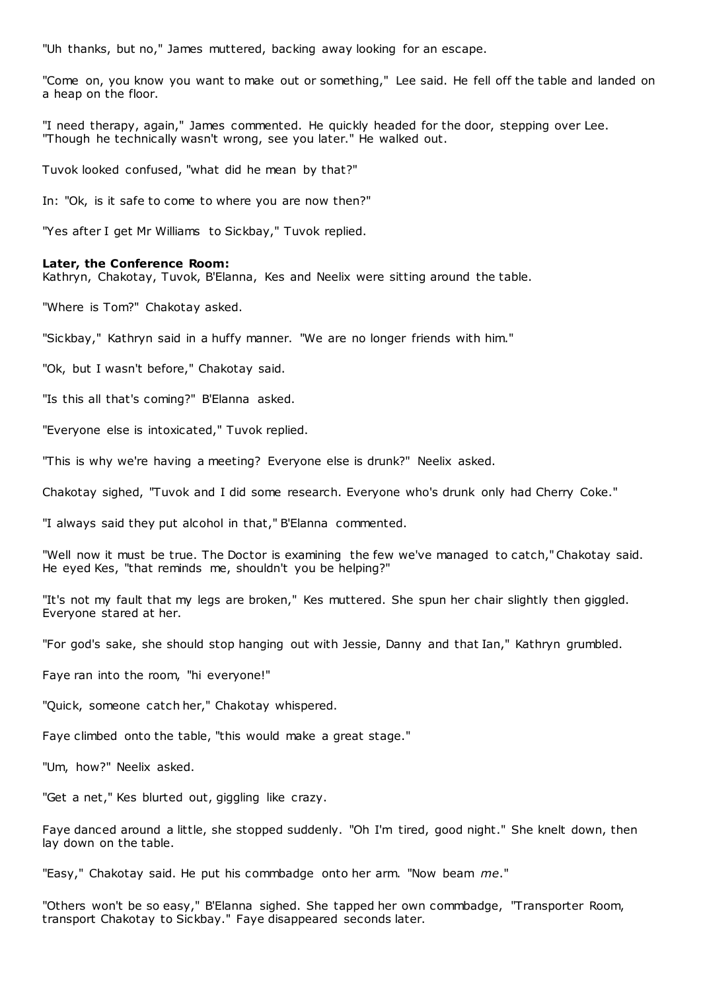"Uh thanks, but no," James muttered, backing away looking for an escape.

"Come on, you know you want to make out or something," Lee said. He fell off the table and landed on a heap on the floor.

"I need therapy, again," James commented. He quickly headed for the door, stepping over Lee. "Though he technically wasn't wrong, see you later." He walked out.

Tuvok looked confused, "what did he mean by that?"

In: "Ok, is it safe to come to where you are now then?"

"Yes after I get Mr Williams to Sickbay," Tuvok replied.

#### **Later, the Conference Room:**

Kathryn, Chakotay, Tuvok, B'Elanna, Kes and Neelix were sitting around the table.

"Where is Tom?" Chakotay asked.

"Sickbay," Kathryn said in a huffy manner. "We are no longer friends with him."

"Ok, but I wasn't before," Chakotay said.

"Is this all that's coming?" B'Elanna asked.

"Everyone else is intoxicated," Tuvok replied.

"This is why we're having a meeting? Everyone else is drunk?" Neelix asked.

Chakotay sighed, "Tuvok and I did some research. Everyone who's drunk only had Cherry Coke."

"I always said they put alcohol in that," B'Elanna commented.

"Well now it must be true. The Doctor is examining the few we've managed to catch," Chakotay said. He eyed Kes, "that reminds me, shouldn't you be helping?"

"It's not my fault that my legs are broken," Kes muttered. She spun her chair slightly then giggled. Everyone stared at her.

"For god's sake, she should stop hanging out with Jessie, Danny and that Ian," Kathryn grumbled.

Faye ran into the room, "hi everyone!"

"Quick, someone catch her," Chakotay whispered.

Faye climbed onto the table, "this would make a great stage."

"Um, how?" Neelix asked.

"Get a net," Kes blurted out, giggling like crazy.

Faye danced around a little, she stopped suddenly. "Oh I'm tired, good night." She knelt down, then lay down on the table.

"Easy," Chakotay said. He put his commbadge onto her arm. "Now beam *me*."

"Others won't be so easy," B'Elanna sighed. She tapped her own commbadge, "Transporter Room, transport Chakotay to Sickbay." Faye disappeared seconds later.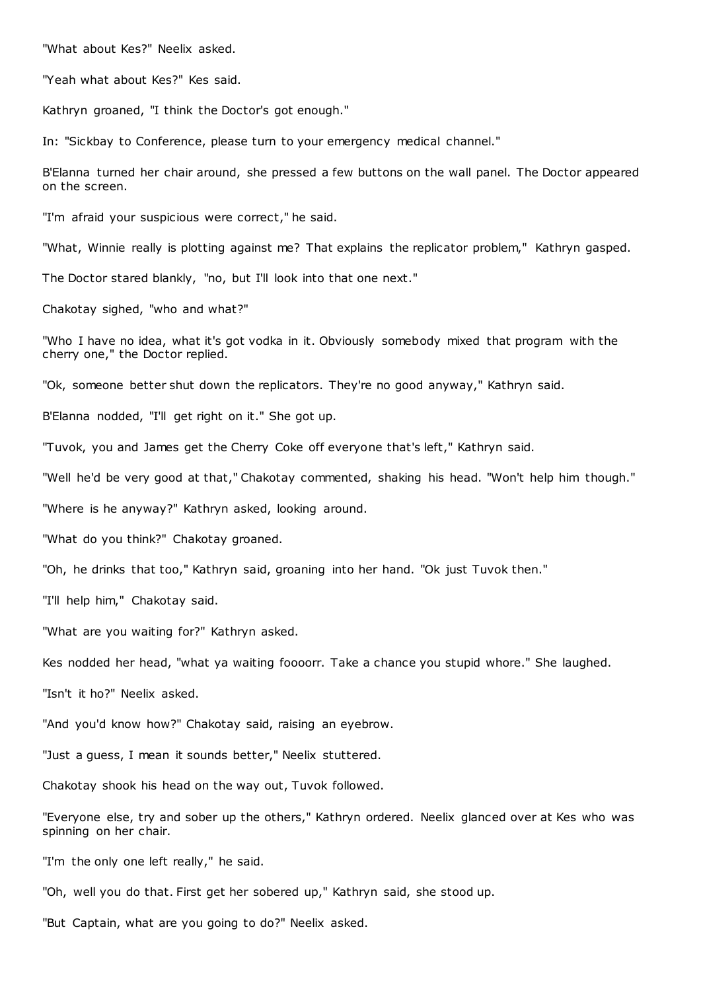"What about Kes?" Neelix asked.

"Yeah what about Kes?" Kes said.

Kathryn groaned, "I think the Doctor's got enough."

In: "Sickbay to Conference, please turn to your emergency medical channel."

B'Elanna turned her chair around, she pressed a few buttons on the wall panel. The Doctor appeared on the screen.

"I'm afraid your suspicious were correct," he said.

"What, Winnie really is plotting against me? That explains the replicator problem," Kathryn gasped.

The Doctor stared blankly, "no, but I'll look into that one next."

Chakotay sighed, "who and what?"

"Who I have no idea, what it's got vodka in it. Obviously somebody mixed that program with the cherry one," the Doctor replied.

"Ok, someone better shut down the replicators. They're no good anyway," Kathryn said.

B'Elanna nodded, "I'll get right on it." She got up.

"Tuvok, you and James get the Cherry Coke off everyone that's left," Kathryn said.

"Well he'd be very good at that," Chakotay commented, shaking his head. "Won't help him though."

"Where is he anyway?" Kathryn asked, looking around.

"What do you think?" Chakotay groaned.

"Oh, he drinks that too," Kathryn said, groaning into her hand. "Ok just Tuvok then."

"I'll help him," Chakotay said.

"What are you waiting for?" Kathryn asked.

Kes nodded her head, "what ya waiting foooorr. Take a chance you stupid whore." She laughed.

"Isn't it ho?" Neelix asked.

"And you'd know how?" Chakotay said, raising an eyebrow.

"Just a guess, I mean it sounds better," Neelix stuttered.

Chakotay shook his head on the way out, Tuvok followed.

"Everyone else, try and sober up the others," Kathryn ordered. Neelix glanced over at Kes who was spinning on her chair.

"I'm the only one left really," he said.

"Oh, well you do that. First get her sobered up," Kathryn said, she stood up.

"But Captain, what are you going to do?" Neelix asked.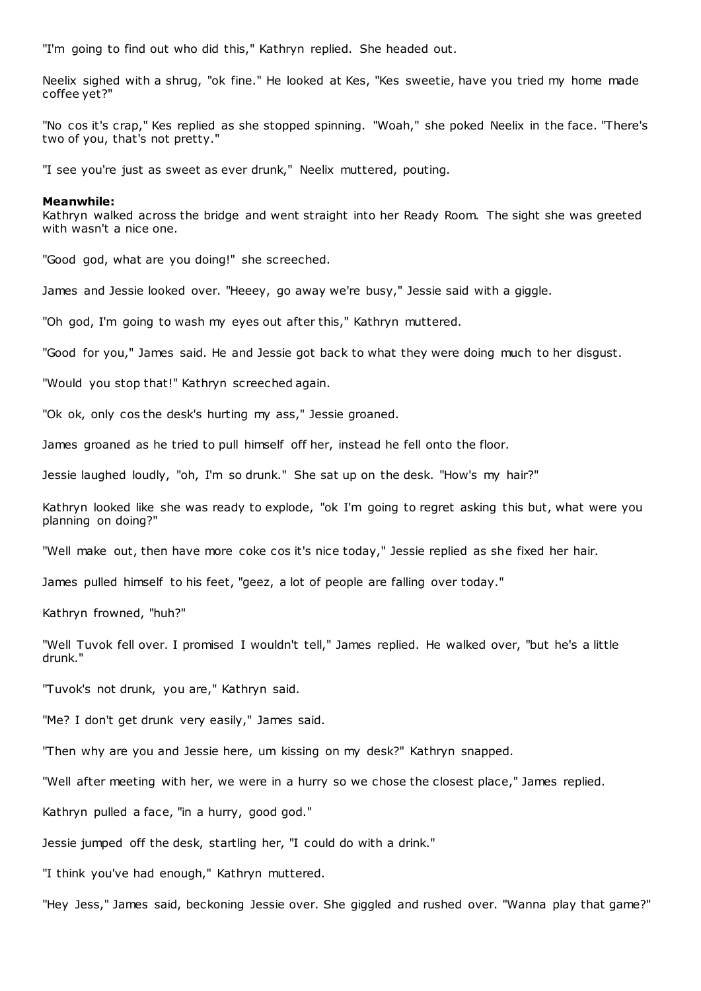"I'm going to find out who did this," Kathryn replied. She headed out.

Neelix sighed with a shrug, "ok fine." He looked at Kes, "Kes sweetie, have you tried my home made coffee yet?"

"No cos it's crap," Kes replied as she stopped spinning. "Woah," she poked Neelix in the face. "There's two of you, that's not pretty."

"I see you're just as sweet as ever drunk," Neelix muttered, pouting.

#### **Meanwhile:**

Kathryn walked across the bridge and went straight into her Ready Room. The sight she was greeted with wasn't a nice one.

"Good god, what are you doing!" she screeched.

James and Jessie looked over. "Heeey, go away we're busy," Jessie said with a giggle.

"Oh god, I'm going to wash my eyes out after this," Kathryn muttered.

"Good for you," James said. He and Jessie got back to what they were doing much to her disgust.

"Would you stop that!" Kathryn screeched again.

"Ok ok, only cos the desk's hurting my ass," Jessie groaned.

James groaned as he tried to pull himself off her, instead he fell onto the floor.

Jessie laughed loudly, "oh, I'm so drunk." She sat up on the desk. "How's my hair?"

Kathryn looked like she was ready to explode, "ok I'm going to regret asking this but, what were you planning on doing?"

"Well make out, then have more coke cos it's nice today," Jessie replied as she fixed her hair.

James pulled himself to his feet, "geez, a lot of people are falling over today."

Kathryn frowned, "huh?"

"Well Tuvok fell over. I promised I wouldn't tell," James replied. He walked over, "but he's a little drunk."

"Tuvok's not drunk, you are," Kathryn said.

"Me? I don't get drunk very easily," James said.

"Then why are you and Jessie here, um kissing on my desk?" Kathryn snapped.

"Well after meeting with her, we were in a hurry so we chose the closest place," James replied.

Kathryn pulled a face, "in a hurry, good god."

Jessie jumped off the desk, startling her, "I could do with a drink."

"I think you've had enough," Kathryn muttered.

"Hey Jess," James said, beckoning Jessie over. She giggled and rushed over. "Wanna play that game?"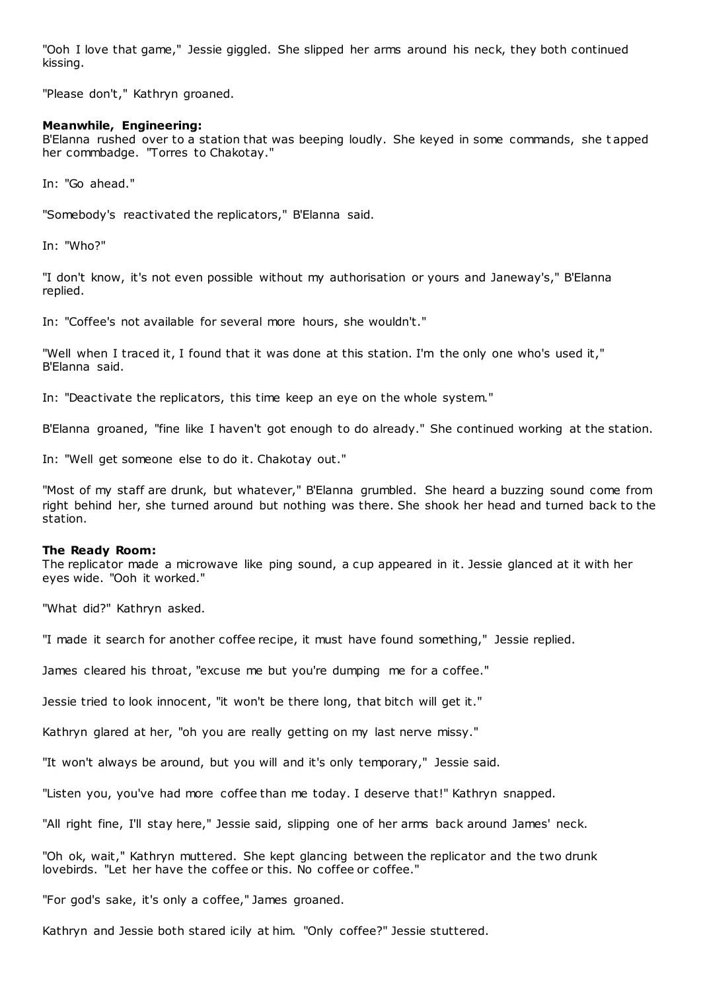"Ooh I love that game," Jessie giggled. She slipped her arms around his neck, they both continued kissing.

"Please don't," Kathryn groaned.

#### **Meanwhile, Engineering:**

B'Elanna rushed over to a station that was beeping loudly. She keyed in some commands, she t apped her commbadge. "Torres to Chakotay."

In: "Go ahead."

"Somebody's reactivated the replicators," B'Elanna said.

In: "Who?"

"I don't know, it's not even possible without my authorisation or yours and Janeway's," B'Elanna replied.

In: "Coffee's not available for several more hours, she wouldn't."

"Well when I traced it, I found that it was done at this station. I'm the only one who's used it," B'Elanna said.

In: "Deactivate the replicators, this time keep an eye on the whole system."

B'Elanna groaned, "fine like I haven't got enough to do already." She continued working at the station.

In: "Well get someone else to do it. Chakotay out."

"Most of my staff are drunk, but whatever," B'Elanna grumbled. She heard a buzzing sound come from right behind her, she turned around but nothing was there. She shook her head and turned back to the station.

#### **The Ready Room:**

The replicator made a microwave like ping sound, a cup appeared in it. Jessie glanced at it with her eyes wide. "Ooh it worked."

"What did?" Kathryn asked.

"I made it search for another coffee recipe, it must have found something," Jessie replied.

James cleared his throat, "excuse me but you're dumping me for a coffee."

Jessie tried to look innocent, "it won't be there long, that bitch will get it."

Kathryn glared at her, "oh you are really getting on my last nerve missy."

"It won't always be around, but you will and it's only temporary," Jessie said.

"Listen you, you've had more coffee than me today. I deserve that!" Kathryn snapped.

"All right fine, I'll stay here," Jessie said, slipping one of her arms back around James' neck.

"Oh ok, wait," Kathryn muttered. She kept glancing between the replicator and the two drunk lovebirds. "Let her have the coffee or this. No coffee or coffee."

"For god's sake, it's only a coffee," James groaned.

Kathryn and Jessie both stared icily at him. "Only coffee?" Jessie stuttered.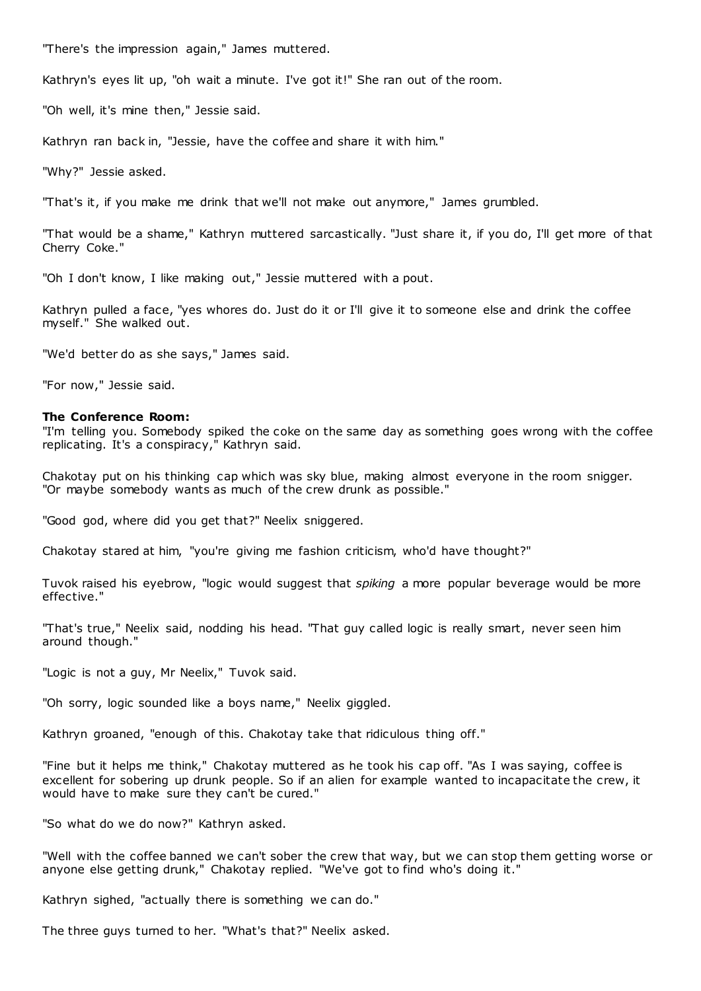"There's the impression again," James muttered.

Kathryn's eyes lit up, "oh wait a minute. I've got it!" She ran out of the room.

"Oh well, it's mine then," Jessie said.

Kathryn ran back in, "Jessie, have the coffee and share it with him."

"Why?" Jessie asked.

"That's it, if you make me drink that we'll not make out anymore," James grumbled.

"That would be a shame," Kathryn muttered sarcastically. "Just share it, if you do, I'll get more of that Cherry Coke."

"Oh I don't know, I like making out," Jessie muttered with a pout.

Kathryn pulled a face, "yes whores do. Just do it or I'll give it to someone else and drink the coffee myself." She walked out.

"We'd better do as she says," James said.

"For now," Jessie said.

#### **The Conference Room:**

"I'm telling you. Somebody spiked the coke on the same day as something goes wrong with the coffee replicating. It's a conspiracy," Kathryn said.

Chakotay put on his thinking cap which was sky blue, making almost everyone in the room snigger. "Or maybe somebody wants as much of the crew drunk as possible."

"Good god, where did you get that?" Neelix sniggered.

Chakotay stared at him, "you're giving me fashion criticism, who'd have thought?"

Tuvok raised his eyebrow, "logic would suggest that *spiking* a more popular beverage would be more effective."

"That's true," Neelix said, nodding his head. "That guy called logic is really smart, never seen him around though."

"Logic is not a guy, Mr Neelix," Tuvok said.

"Oh sorry, logic sounded like a boys name," Neelix giggled.

Kathryn groaned, "enough of this. Chakotay take that ridiculous thing off."

"Fine but it helps me think," Chakotay muttered as he took his cap off. "As I was saying, coffee is excellent for sobering up drunk people. So if an alien for example wanted to incapacitate the crew, it would have to make sure they can't be cured."

"So what do we do now?" Kathryn asked.

"Well with the coffee banned we can't sober the crew that way, but we can stop them getting worse or anyone else getting drunk," Chakotay replied. "We've got to find who's doing it."

Kathryn sighed, "actually there is something we can do."

The three guys turned to her. "What's that?" Neelix asked.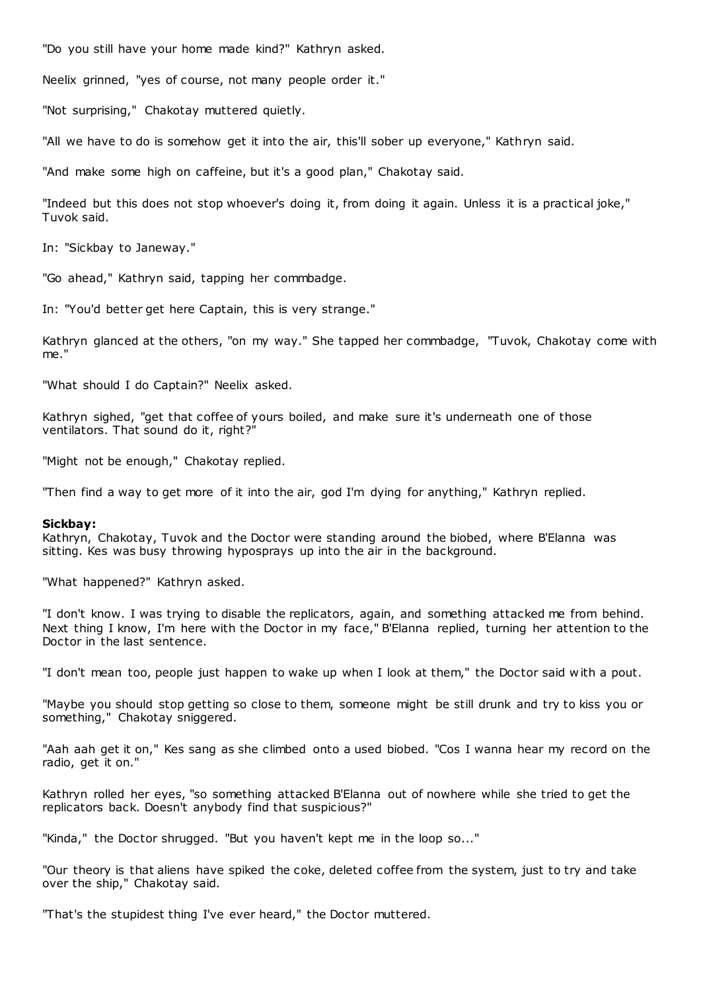"Do you still have your home made kind?" Kathryn asked.

Neelix grinned, "yes of course, not many people order it."

"Not surprising," Chakotay muttered quietly.

"All we have to do is somehow get it into the air, this'll sober up everyone," Kathryn said.

"And make some high on caffeine, but it's a good plan," Chakotay said.

"Indeed but this does not stop whoever's doing it, from doing it again. Unless it is a practical joke," Tuvok said.

In: "Sickbay to Janeway."

"Go ahead," Kathryn said, tapping her commbadge.

In: "You'd better get here Captain, this is very strange."

Kathryn glanced at the others, "on my way." She tapped her commbadge, "Tuvok, Chakotay come with me."

"What should I do Captain?" Neelix asked.

Kathryn sighed, "get that coffee of yours boiled, and make sure it's underneath one of those ventilators. That sound do it, right?"

"Might not be enough," Chakotay replied.

"Then find a way to get more of it into the air, god I'm dying for anything," Kathryn replied.

# **Sickbay:**

Kathryn, Chakotay, Tuvok and the Doctor were standing around the biobed, where B'Elanna was sitting. Kes was busy throwing hyposprays up into the air in the background.

"What happened?" Kathryn asked.

"I don't know. I was trying to disable the replicators, again, and something attacked me from behind. Next thing I know, I'm here with the Doctor in my face," B'Elanna replied, turning her attention to the Doctor in the last sentence.

"I don't mean too, people just happen to wake up when I look at them," the Doctor said w ith a pout.

"Maybe you should stop getting so close to them, someone might be still drunk and try to kiss you or something," Chakotay sniggered.

"Aah aah get it on," Kes sang as she climbed onto a used biobed. "Cos I wanna hear my record on the radio, get it on."

Kathryn rolled her eyes, "so something attacked B'Elanna out of nowhere while she tried to get the replicators back. Doesn't anybody find that suspicious?"

"Kinda," the Doctor shrugged. "But you haven't kept me in the loop so..."

"Our theory is that aliens have spiked the coke, deleted coffee from the system, just to try and take over the ship," Chakotay said.

"That's the stupidest thing I've ever heard," the Doctor muttered.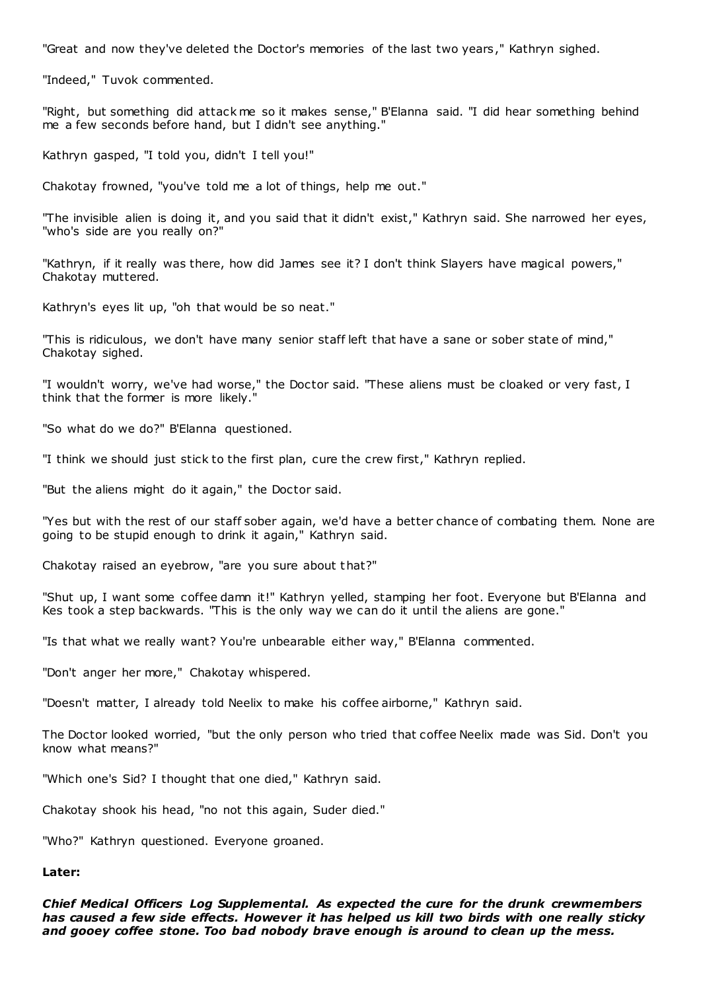"Great and now they've deleted the Doctor's memories of the last two years," Kathryn sighed.

"Indeed," Tuvok commented.

"Right, but something did attack me so it makes sense," B'Elanna said. "I did hear something behind me a few seconds before hand, but I didn't see anything."

Kathryn gasped, "I told you, didn't I tell you!"

Chakotay frowned, "you've told me a lot of things, help me out."

"The invisible alien is doing it, and you said that it didn't exist," Kathryn said. She narrowed her eyes, "who's side are you really on?"

"Kathryn, if it really was there, how did James see it? I don't think Slayers have magical powers," Chakotay muttered.

Kathryn's eyes lit up, "oh that would be so neat."

"This is ridiculous, we don't have many senior staff left that have a sane or sober state of mind," Chakotay sighed.

"I wouldn't worry, we've had worse," the Doctor said. "These aliens must be cloaked or very fast, I think that the former is more likely."

"So what do we do?" B'Elanna questioned.

"I think we should just stick to the first plan, cure the crew first," Kathryn replied.

"But the aliens might do it again," the Doctor said.

"Yes but with the rest of our staff sober again, we'd have a better chance of combating them. None are going to be stupid enough to drink it again," Kathryn said.

Chakotay raised an eyebrow, "are you sure about that?"

"Shut up, I want some coffee damn it!" Kathryn yelled, stamping her foot. Everyone but B'Elanna and Kes took a step backwards. "This is the only way we can do it until the aliens are gone."

"Is that what we really want? You're unbearable either way," B'Elanna commented.

"Don't anger her more," Chakotay whispered.

"Doesn't matter, I already told Neelix to make his coffee airborne," Kathryn said.

The Doctor looked worried, "but the only person who tried that coffee Neelix made was Sid. Don't you know what means?"

"Which one's Sid? I thought that one died," Kathryn said.

Chakotay shook his head, "no not this again, Suder died."

"Who?" Kathryn questioned. Everyone groaned.

# **Later:**

*Chief Medical Officers Log Supplemental. As expected the cure for the drunk crewmembers has caused a few side effects. However it has helped us kill two birds with one really sticky and gooey coffee stone. Too bad nobody brave enough is around to clean up the mess.*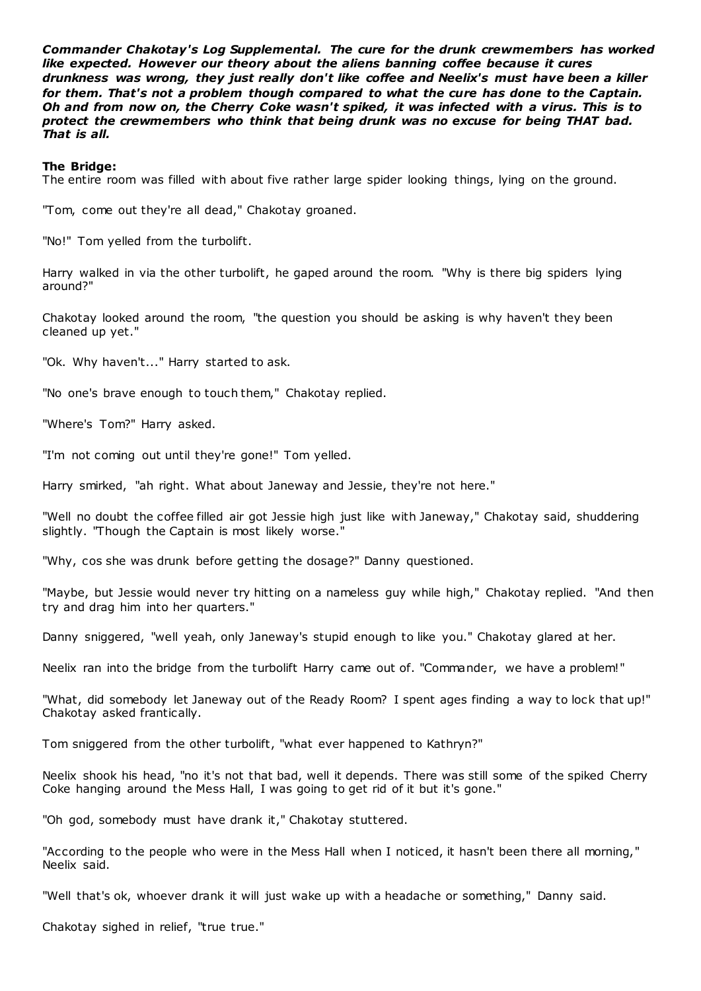*Commander Chakotay's Log Supplemental. The cure for the drunk crewmembers has worked like expected. However our theory about the aliens banning coffee because it cures drunkness was wrong, they just really don't like coffee and Neelix's must have been a killer for them. That's not a problem though compared to what the cure has done to the Captain. Oh and from now on, the Cherry Coke wasn't spiked, it was infected with a virus. This is to protect the crewmembers who think that being drunk was no excuse for being THAT bad. That is all.*

#### **The Bridge:**

The entire room was filled with about five rather large spider looking things, lying on the ground.

"Tom, come out they're all dead," Chakotay groaned.

"No!" Tom yelled from the turbolift.

Harry walked in via the other turbolift, he gaped around the room. "Why is there big spiders lying around?"

Chakotay looked around the room, "the question you should be asking is why haven't they been cleaned up yet."

"Ok. Why haven't..." Harry started to ask.

"No one's brave enough to touch them," Chakotay replied.

"Where's Tom?" Harry asked.

"I'm not coming out until they're gone!" Tom yelled.

Harry smirked, "ah right. What about Janeway and Jessie, they're not here."

"Well no doubt the coffee filled air got Jessie high just like with Janeway," Chakotay said, shuddering slightly. "Though the Captain is most likely worse."

"Why, cos she was drunk before getting the dosage?" Danny questioned.

"Maybe, but Jessie would never try hitting on a nameless guy while high," Chakotay replied. "And then try and drag him into her quarters."

Danny sniggered, "well yeah, only Janeway's stupid enough to like you." Chakotay glared at her.

Neelix ran into the bridge from the turbolift Harry came out of. "Commander, we have a problem!"

"What, did somebody let Janeway out of the Ready Room? I spent ages finding a way to lock that up!" Chakotay asked frantically.

Tom sniggered from the other turbolift, "what ever happened to Kathryn?"

Neelix shook his head, "no it's not that bad, well it depends. There was still some of the spiked Cherry Coke hanging around the Mess Hall, I was going to get rid of it but it's gone."

"Oh god, somebody must have drank it," Chakotay stuttered.

"According to the people who were in the Mess Hall when I noticed, it hasn't been there all morning," Neelix said.

"Well that's ok, whoever drank it will just wake up with a headache or something," Danny said.

Chakotay sighed in relief, "true true."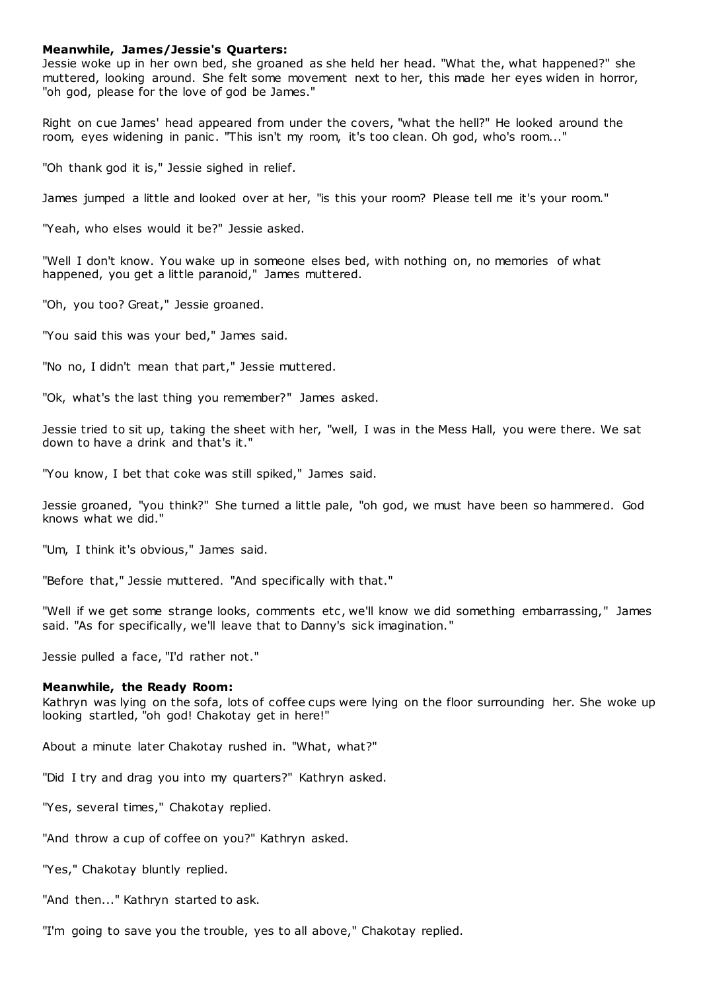# **Meanwhile, James/Jessie's Quarters:**

Jessie woke up in her own bed, she groaned as she held her head. "What the, what happened?" she muttered, looking around. She felt some movement next to her, this made her eyes widen in horror, "oh god, please for the love of god be James."

Right on cue James' head appeared from under the covers, "what the hell?" He looked around the room, eyes widening in panic. "This isn't my room, it's too clean. Oh god, who's room..."

"Oh thank god it is," Jessie sighed in relief.

James jumped a little and looked over at her, "is this your room? Please tell me it's your room."

"Yeah, who elses would it be?" Jessie asked.

"Well I don't know. You wake up in someone elses bed, with nothing on, no memories of what happened, you get a little paranoid," James muttered.

"Oh, you too? Great," Jessie groaned.

"You said this was your bed," James said.

"No no, I didn't mean that part," Jessie muttered.

"Ok, what's the last thing you remember?" James asked.

Jessie tried to sit up, taking the sheet with her, "well, I was in the Mess Hall, you were there. We sat down to have a drink and that's it."

"You know, I bet that coke was still spiked," James said.

Jessie groaned, "you think?" She turned a little pale, "oh god, we must have been so hammered. God knows what we did."

"Um, I think it's obvious," James said.

"Before that," Jessie muttered. "And specifically with that."

"Well if we get some strange looks, comments etc , we'll know we did something embarrassing," James said. "As for specifically, we'll leave that to Danny's sick imagination."

Jessie pulled a face, "I'd rather not."

# **Meanwhile, the Ready Room:**

Kathryn was lying on the sofa, lots of coffee cups were lying on the floor surrounding her. She woke up looking startled, "oh god! Chakotay get in here!"

About a minute later Chakotay rushed in. "What, what?"

"Did I try and drag you into my quarters?" Kathryn asked.

"Yes, several times," Chakotay replied.

"And throw a cup of coffee on you?" Kathryn asked.

"Yes," Chakotay bluntly replied.

"And then..." Kathryn started to ask.

"I'm going to save you the trouble, yes to all above," Chakotay replied.